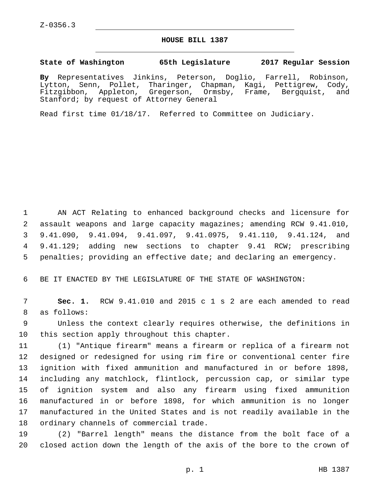## **HOUSE BILL 1387**

## **State of Washington 65th Legislature 2017 Regular Session**

**By** Representatives Jinkins, Peterson, Doglio, Farrell, Robinson, Lytton, Senn, Pollet, Tharinger, Chapman, Kagi, Pettigrew, Cody, Fitzgibbon, Appleton, Gregerson, Ormsby, Frame, Bergquist, and Stanford; by request of Attorney General

Read first time 01/18/17. Referred to Committee on Judiciary.

 AN ACT Relating to enhanced background checks and licensure for assault weapons and large capacity magazines; amending RCW 9.41.010, 9.41.090, 9.41.094, 9.41.097, 9.41.0975, 9.41.110, 9.41.124, and 9.41.129; adding new sections to chapter 9.41 RCW; prescribing penalties; providing an effective date; and declaring an emergency.

6 BE IT ENACTED BY THE LEGISLATURE OF THE STATE OF WASHINGTON:

7 **Sec. 1.** RCW 9.41.010 and 2015 c 1 s 2 are each amended to read 8 as follows:

9 Unless the context clearly requires otherwise, the definitions in 10 this section apply throughout this chapter.

 (1) "Antique firearm" means a firearm or replica of a firearm not designed or redesigned for using rim fire or conventional center fire ignition with fixed ammunition and manufactured in or before 1898, including any matchlock, flintlock, percussion cap, or similar type of ignition system and also any firearm using fixed ammunition manufactured in or before 1898, for which ammunition is no longer manufactured in the United States and is not readily available in the 18 ordinary channels of commercial trade.

19 (2) "Barrel length" means the distance from the bolt face of a 20 closed action down the length of the axis of the bore to the crown of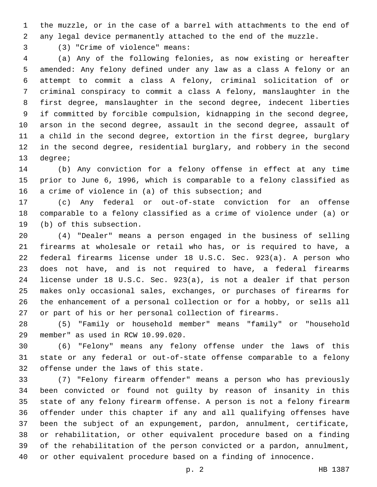the muzzle, or in the case of a barrel with attachments to the end of any legal device permanently attached to the end of the muzzle.

(3) "Crime of violence" means:3

 (a) Any of the following felonies, as now existing or hereafter amended: Any felony defined under any law as a class A felony or an attempt to commit a class A felony, criminal solicitation of or criminal conspiracy to commit a class A felony, manslaughter in the first degree, manslaughter in the second degree, indecent liberties if committed by forcible compulsion, kidnapping in the second degree, arson in the second degree, assault in the second degree, assault of a child in the second degree, extortion in the first degree, burglary in the second degree, residential burglary, and robbery in the second 13 degree;

 (b) Any conviction for a felony offense in effect at any time prior to June 6, 1996, which is comparable to a felony classified as a crime of violence in (a) of this subsection; and

 (c) Any federal or out-of-state conviction for an offense comparable to a felony classified as a crime of violence under (a) or 19 (b) of this subsection.

 (4) "Dealer" means a person engaged in the business of selling firearms at wholesale or retail who has, or is required to have, a federal firearms license under 18 U.S.C. Sec. 923(a). A person who does not have, and is not required to have, a federal firearms license under 18 U.S.C. Sec. 923(a), is not a dealer if that person makes only occasional sales, exchanges, or purchases of firearms for the enhancement of a personal collection or for a hobby, or sells all or part of his or her personal collection of firearms.

 (5) "Family or household member" means "family" or "household member" as used in RCW 10.99.020.29

 (6) "Felony" means any felony offense under the laws of this state or any federal or out-of-state offense comparable to a felony 32 offense under the laws of this state.

 (7) "Felony firearm offender" means a person who has previously been convicted or found not guilty by reason of insanity in this state of any felony firearm offense. A person is not a felony firearm offender under this chapter if any and all qualifying offenses have been the subject of an expungement, pardon, annulment, certificate, or rehabilitation, or other equivalent procedure based on a finding of the rehabilitation of the person convicted or a pardon, annulment, or other equivalent procedure based on a finding of innocence.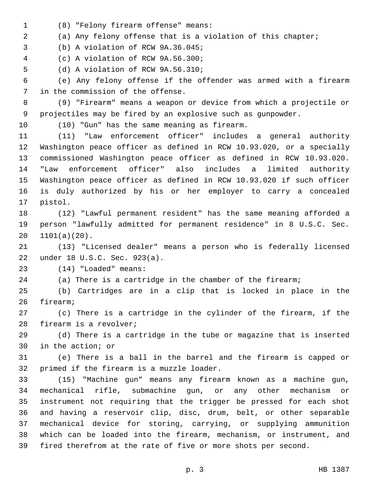(8) "Felony firearm offense" means:1

(a) Any felony offense that is a violation of this chapter;

(b) A violation of RCW 9A.36.045;

(c) A violation of RCW 9A.56.300;4

5 (d) A violation of RCW 9A.56.310;

 (e) Any felony offense if the offender was armed with a firearm 7 in the commission of the offense.

 (9) "Firearm" means a weapon or device from which a projectile or projectiles may be fired by an explosive such as gunpowder.

10 (10) "Gun" has the same meaning as firearm.

 (11) "Law enforcement officer" includes a general authority Washington peace officer as defined in RCW 10.93.020, or a specially commissioned Washington peace officer as defined in RCW 10.93.020. "Law enforcement officer" also includes a limited authority Washington peace officer as defined in RCW 10.93.020 if such officer is duly authorized by his or her employer to carry a concealed 17 pistol.

 (12) "Lawful permanent resident" has the same meaning afforded a person "lawfully admitted for permanent residence" in 8 U.S.C. Sec.  $20 \quad 1101(a)(20)$ .

 (13) "Licensed dealer" means a person who is federally licensed 22 under 18 U.S.C. Sec. 923(a).

(14) "Loaded" means:23

(a) There is a cartridge in the chamber of the firearm;

 (b) Cartridges are in a clip that is locked in place in the 26 firearm;

 (c) There is a cartridge in the cylinder of the firearm, if the 28 firearm is a revolver;

 (d) There is a cartridge in the tube or magazine that is inserted 30 in the action; or

 (e) There is a ball in the barrel and the firearm is capped or 32 primed if the firearm is a muzzle loader.

 (15) "Machine gun" means any firearm known as a machine gun, mechanical rifle, submachine gun, or any other mechanism or instrument not requiring that the trigger be pressed for each shot and having a reservoir clip, disc, drum, belt, or other separable mechanical device for storing, carrying, or supplying ammunition which can be loaded into the firearm, mechanism, or instrument, and fired therefrom at the rate of five or more shots per second.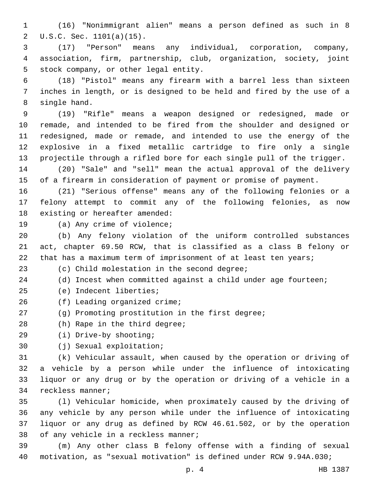(16) "Nonimmigrant alien" means a person defined as such in 8 U.S.C. Sec. 1101(a)(15).2

 (17) "Person" means any individual, corporation, company, association, firm, partnership, club, organization, society, joint 5 stock company, or other legal entity.

 (18) "Pistol" means any firearm with a barrel less than sixteen inches in length, or is designed to be held and fired by the use of a 8 single hand.

 (19) "Rifle" means a weapon designed or redesigned, made or remade, and intended to be fired from the shoulder and designed or redesigned, made or remade, and intended to use the energy of the explosive in a fixed metallic cartridge to fire only a single projectile through a rifled bore for each single pull of the trigger.

 (20) "Sale" and "sell" mean the actual approval of the delivery of a firearm in consideration of payment or promise of payment.

 (21) "Serious offense" means any of the following felonies or a felony attempt to commit any of the following felonies, as now 18 existing or hereafter amended:

19 (a) Any crime of violence;

 (b) Any felony violation of the uniform controlled substances act, chapter 69.50 RCW, that is classified as a class B felony or 22 that has a maximum term of imprisonment of at least ten years;

(c) Child molestation in the second degree;

(d) Incest when committed against a child under age fourteen;

- (e) Indecent liberties;25
- 26 (f) Leading organized crime;
- (g) Promoting prostitution in the first degree;
- 28 (h) Rape in the third degree;
- (i) Drive-by shooting;29
- 30 (j) Sexual exploitation;

 (k) Vehicular assault, when caused by the operation or driving of a vehicle by a person while under the influence of intoxicating liquor or any drug or by the operation or driving of a vehicle in a 34 reckless manner;

 (l) Vehicular homicide, when proximately caused by the driving of any vehicle by any person while under the influence of intoxicating liquor or any drug as defined by RCW 46.61.502, or by the operation 38 of any vehicle in a reckless manner;

 (m) Any other class B felony offense with a finding of sexual motivation, as "sexual motivation" is defined under RCW 9.94A.030;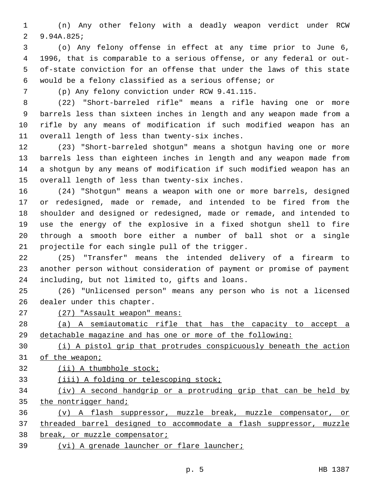(n) Any other felony with a deadly weapon verdict under RCW 2 9.94A.825;

 (o) Any felony offense in effect at any time prior to June 6, 1996, that is comparable to a serious offense, or any federal or out- of-state conviction for an offense that under the laws of this state would be a felony classified as a serious offense; or

(p) Any felony conviction under RCW 9.41.115.7

 (22) "Short-barreled rifle" means a rifle having one or more barrels less than sixteen inches in length and any weapon made from a rifle by any means of modification if such modified weapon has an 11 overall length of less than twenty-six inches.

 (23) "Short-barreled shotgun" means a shotgun having one or more barrels less than eighteen inches in length and any weapon made from a shotgun by any means of modification if such modified weapon has an 15 overall length of less than twenty-six inches.

 (24) "Shotgun" means a weapon with one or more barrels, designed or redesigned, made or remade, and intended to be fired from the shoulder and designed or redesigned, made or remade, and intended to use the energy of the explosive in a fixed shotgun shell to fire through a smooth bore either a number of ball shot or a single 21 projectile for each single pull of the trigger.

 (25) "Transfer" means the intended delivery of a firearm to another person without consideration of payment or promise of payment 24 including, but not limited to, gifts and loans.

 (26) "Unlicensed person" means any person who is not a licensed 26 dealer under this chapter.

(27) "Assault weapon" means:

 (a) A semiautomatic rifle that has the capacity to accept a detachable magazine and has one or more of the following:

 (i) A pistol grip that protrudes conspicuously beneath the action of the weapon;

(ii) A thumbhole stock;

(iii) A folding or telescoping stock;

 (iv) A second handgrip or a protruding grip that can be held by 35 the nontrigger hand;

 (v) A flash suppressor, muzzle break, muzzle compensator, or threaded barrel designed to accommodate a flash suppressor, muzzle

break, or muzzle compensator;

(vi) A grenade launcher or flare launcher;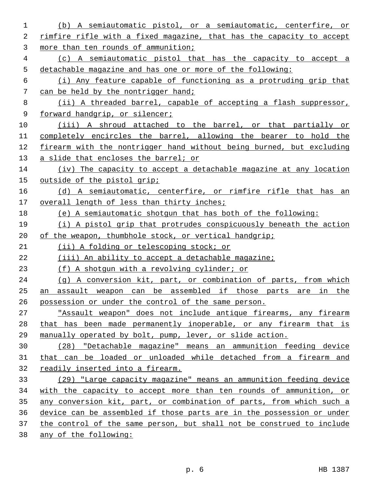| 1  | (b) A semiautomatic pistol, or a semiautomatic, centerfire, or        |
|----|-----------------------------------------------------------------------|
| 2  | rimfire rifle with a fixed magazine, that has the capacity to accept  |
| 3  | more than ten rounds of ammunition;                                   |
| 4  | (c) A semiautomatic pistol that has the capacity to accept a          |
| 5  | detachable magazine and has one or more of the following:             |
| 6  | (i) Any feature capable of functioning as a protruding grip that      |
| 7  | can be held by the nontrigger hand;                                   |
| 8  | (ii) A threaded barrel, capable of accepting a flash suppressor,      |
| 9  | forward handgrip, or silencer;                                        |
| 10 | (iii) A shroud attached to the barrel, or that partially or           |
| 11 | completely encircles the barrel, allowing the bearer to hold the      |
| 12 | firearm with the nontrigger hand without being burned, but excluding  |
| 13 | a slide that encloses the barrel; or                                  |
| 14 | (iv) The capacity to accept a detachable magazine at any location     |
| 15 | outside of the pistol grip;                                           |
| 16 | (d) A semiautomatic, centerfire, or rimfire rifle that has an         |
| 17 | overall length of less than thirty inches;                            |
| 18 | (e) A semiautomatic shotgun that has both of the following:           |
| 19 | (i) A pistol grip that protrudes conspicuously beneath the action     |
| 20 | of the weapon, thumbhole stock, or vertical handgrip;                 |
| 21 | (ii) A folding or telescoping stock; or                               |
| 22 | (iii) An ability to accept a detachable magazine;                     |
| 23 | (f) A shotgun with a revolving cylinder; or                           |
| 24 | (g) A conversion kit, part, or combination of parts, from which       |
| 25 | assault weapon can be assembled if those parts are in the<br>an       |
| 26 | possession or under the control of the same person.                   |
| 27 | "Assault weapon" does not include antique firearms, any firearm       |
| 28 | that has been made permanently inoperable, or any firearm that is     |
| 29 | manually operated by bolt, pump, lever, or slide action.              |
| 30 | (28) "Detachable magazine" means an ammunition feeding device         |
| 31 | that can be loaded or unloaded while detached from a firearm and      |
| 32 | readily inserted into a firearm.                                      |
| 33 | (29) "Large capacity magazine" means an ammunition feeding device     |
| 34 | with the capacity to accept more than ten rounds of ammunition, or    |
| 35 | any conversion kit, part, or combination of parts, from which such a  |
| 36 |                                                                       |
|    | device can be assembled if those parts are in the possession or under |
| 37 | the control of the same person, but shall not be construed to include |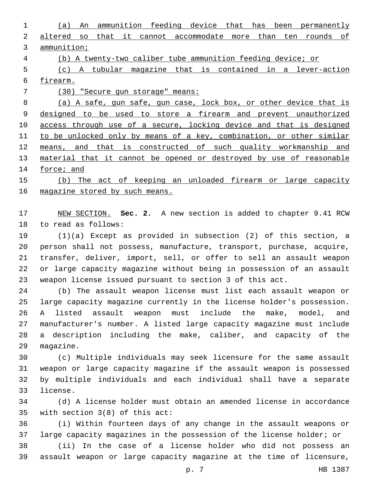(a) An ammunition feeding device that has been permanently altered so that it cannot accommodate more than ten rounds of ammunition;

(b) A twenty-two caliber tube ammunition feeding device; or

 (c) A tubular magazine that is contained in a lever-action firearm.

(30) "Secure gun storage" means:

 (a) A safe, gun safe, gun case, lock box, or other device that is designed to be used to store a firearm and prevent unauthorized 10 access through use of a secure, locking device and that is designed 11 to be unlocked only by means of a key, combination, or other similar means, and that is constructed of such quality workmanship and 13 material that it cannot be opened or destroyed by use of reasonable force; and

 (b) The act of keeping an unloaded firearm or large capacity 16 magazine stored by such means.

 NEW SECTION. **Sec. 2.** A new section is added to chapter 9.41 RCW 18 to read as follows:

 (1)(a) Except as provided in subsection (2) of this section, a person shall not possess, manufacture, transport, purchase, acquire, transfer, deliver, import, sell, or offer to sell an assault weapon or large capacity magazine without being in possession of an assault weapon license issued pursuant to section 3 of this act.

 (b) The assault weapon license must list each assault weapon or large capacity magazine currently in the license holder's possession. A listed assault weapon must include the make, model, and manufacturer's number. A listed large capacity magazine must include a description including the make, caliber, and capacity of the 29 magazine.

 (c) Multiple individuals may seek licensure for the same assault weapon or large capacity magazine if the assault weapon is possessed by multiple individuals and each individual shall have a separate 33 license.

 (d) A license holder must obtain an amended license in accordance 35 with section  $3(8)$  of this act:

 (i) Within fourteen days of any change in the assault weapons or large capacity magazines in the possession of the license holder; or

 (ii) In the case of a license holder who did not possess an assault weapon or large capacity magazine at the time of licensure,

p. 7 HB 1387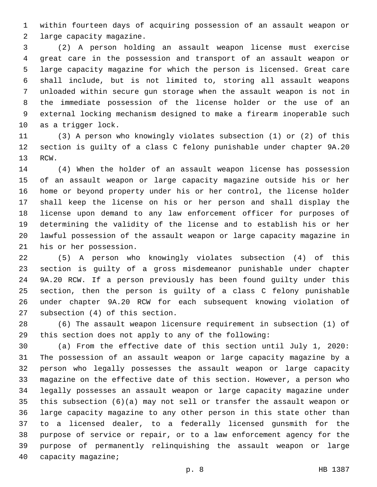within fourteen days of acquiring possession of an assault weapon or 2 large capacity magazine.

 (2) A person holding an assault weapon license must exercise great care in the possession and transport of an assault weapon or large capacity magazine for which the person is licensed. Great care shall include, but is not limited to, storing all assault weapons unloaded within secure gun storage when the assault weapon is not in the immediate possession of the license holder or the use of an external locking mechanism designed to make a firearm inoperable such 10 as a trigger lock.

 (3) A person who knowingly violates subsection (1) or (2) of this section is guilty of a class C felony punishable under chapter 9A.20 13 RCW.

 (4) When the holder of an assault weapon license has possession of an assault weapon or large capacity magazine outside his or her home or beyond property under his or her control, the license holder shall keep the license on his or her person and shall display the license upon demand to any law enforcement officer for purposes of determining the validity of the license and to establish his or her lawful possession of the assault weapon or large capacity magazine in 21 his or her possession.

 (5) A person who knowingly violates subsection (4) of this section is guilty of a gross misdemeanor punishable under chapter 9A.20 RCW. If a person previously has been found guilty under this section, then the person is guilty of a class C felony punishable under chapter 9A.20 RCW for each subsequent knowing violation of 27 subsection (4) of this section.

 (6) The assault weapon licensure requirement in subsection (1) of this section does not apply to any of the following:

 (a) From the effective date of this section until July 1, 2020: The possession of an assault weapon or large capacity magazine by a person who legally possesses the assault weapon or large capacity magazine on the effective date of this section. However, a person who legally possesses an assault weapon or large capacity magazine under this subsection (6)(a) may not sell or transfer the assault weapon or large capacity magazine to any other person in this state other than to a licensed dealer, to a federally licensed gunsmith for the purpose of service or repair, or to a law enforcement agency for the purpose of permanently relinquishing the assault weapon or large 40 capacity magazine;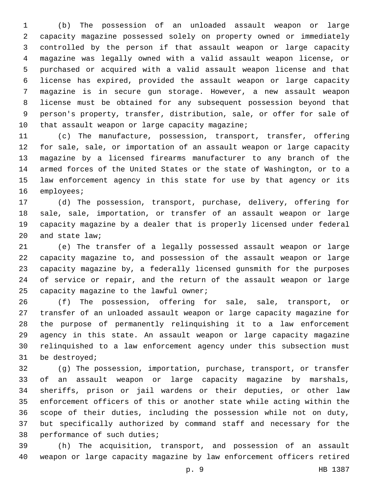(b) The possession of an unloaded assault weapon or large capacity magazine possessed solely on property owned or immediately controlled by the person if that assault weapon or large capacity magazine was legally owned with a valid assault weapon license, or purchased or acquired with a valid assault weapon license and that license has expired, provided the assault weapon or large capacity magazine is in secure gun storage. However, a new assault weapon license must be obtained for any subsequent possession beyond that person's property, transfer, distribution, sale, or offer for sale of 10 that assault weapon or large capacity magazine;

 (c) The manufacture, possession, transport, transfer, offering for sale, sale, or importation of an assault weapon or large capacity magazine by a licensed firearms manufacturer to any branch of the armed forces of the United States or the state of Washington, or to a law enforcement agency in this state for use by that agency or its 16 employees;

 (d) The possession, transport, purchase, delivery, offering for sale, sale, importation, or transfer of an assault weapon or large capacity magazine by a dealer that is properly licensed under federal 20 and state law;

 (e) The transfer of a legally possessed assault weapon or large capacity magazine to, and possession of the assault weapon or large capacity magazine by, a federally licensed gunsmith for the purposes of service or repair, and the return of the assault weapon or large 25 capacity magazine to the lawful owner;

 (f) The possession, offering for sale, sale, transport, or transfer of an unloaded assault weapon or large capacity magazine for the purpose of permanently relinquishing it to a law enforcement agency in this state. An assault weapon or large capacity magazine relinquished to a law enforcement agency under this subsection must 31 be destroyed;

 (g) The possession, importation, purchase, transport, or transfer of an assault weapon or large capacity magazine by marshals, sheriffs, prison or jail wardens or their deputies, or other law enforcement officers of this or another state while acting within the scope of their duties, including the possession while not on duty, but specifically authorized by command staff and necessary for the 38 performance of such duties;

 (h) The acquisition, transport, and possession of an assault weapon or large capacity magazine by law enforcement officers retired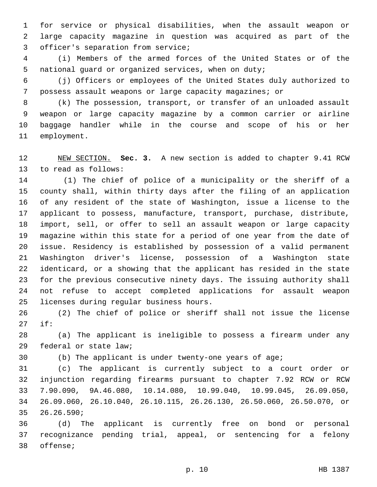for service or physical disabilities, when the assault weapon or large capacity magazine in question was acquired as part of the 3 officer's separation from service;

 (i) Members of the armed forces of the United States or of the national guard or organized services, when on duty;

 (j) Officers or employees of the United States duly authorized to possess assault weapons or large capacity magazines; or

 (k) The possession, transport, or transfer of an unloaded assault weapon or large capacity magazine by a common carrier or airline baggage handler while in the course and scope of his or her 11 employment.

 NEW SECTION. **Sec. 3.** A new section is added to chapter 9.41 RCW 13 to read as follows:

 (1) The chief of police of a municipality or the sheriff of a county shall, within thirty days after the filing of an application of any resident of the state of Washington, issue a license to the applicant to possess, manufacture, transport, purchase, distribute, import, sell, or offer to sell an assault weapon or large capacity magazine within this state for a period of one year from the date of issue. Residency is established by possession of a valid permanent Washington driver's license, possession of a Washington state identicard, or a showing that the applicant has resided in the state for the previous consecutive ninety days. The issuing authority shall not refuse to accept completed applications for assault weapon 25 licenses during regular business hours.

 (2) The chief of police or sheriff shall not issue the license if:27

 (a) The applicant is ineligible to possess a firearm under any 29 federal or state law;

(b) The applicant is under twenty-one years of age;

 (c) The applicant is currently subject to a court order or injunction regarding firearms pursuant to chapter 7.92 RCW or RCW 7.90.090, 9A.46.080, 10.14.080, 10.99.040, 10.99.045, 26.09.050, 26.09.060, 26.10.040, 26.10.115, 26.26.130, 26.50.060, 26.50.070, or 35 26.26.590;

 (d) The applicant is currently free on bond or personal recognizance pending trial, appeal, or sentencing for a felony 38 offense;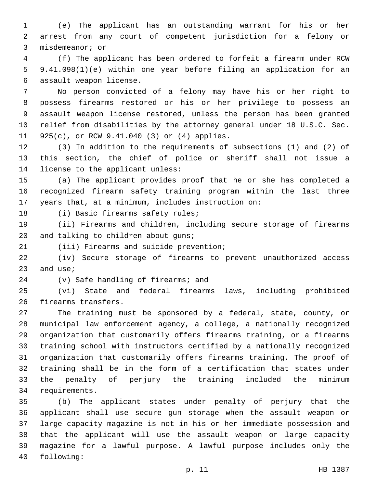(e) The applicant has an outstanding warrant for his or her arrest from any court of competent jurisdiction for a felony or 3 misdemeanor; or

 (f) The applicant has been ordered to forfeit a firearm under RCW 9.41.098(1)(e) within one year before filing an application for an 6 assault weapon license.

 No person convicted of a felony may have his or her right to possess firearms restored or his or her privilege to possess an assault weapon license restored, unless the person has been granted relief from disabilities by the attorney general under 18 U.S.C. Sec. 11 925(c), or RCW 9.41.040 (3) or (4) applies.

 (3) In addition to the requirements of subsections (1) and (2) of this section, the chief of police or sheriff shall not issue a 14 license to the applicant unless:

 (a) The applicant provides proof that he or she has completed a recognized firearm safety training program within the last three years that, at a minimum, includes instruction on:

18 (i) Basic firearms safety rules;

 (ii) Firearms and children, including secure storage of firearms 20 and talking to children about guns;

21 (iii) Firearms and suicide prevention;

 (iv) Secure storage of firearms to prevent unauthorized access and use;

24 (v) Safe handling of firearms; and

 (vi) State and federal firearms laws, including prohibited 26 firearms transfers.

 The training must be sponsored by a federal, state, county, or municipal law enforcement agency, a college, a nationally recognized organization that customarily offers firearms training, or a firearms training school with instructors certified by a nationally recognized organization that customarily offers firearms training. The proof of training shall be in the form of a certification that states under the penalty of perjury the training included the minimum 34 requirements.

 (b) The applicant states under penalty of perjury that the applicant shall use secure gun storage when the assault weapon or large capacity magazine is not in his or her immediate possession and that the applicant will use the assault weapon or large capacity magazine for a lawful purpose. A lawful purpose includes only the 40 following: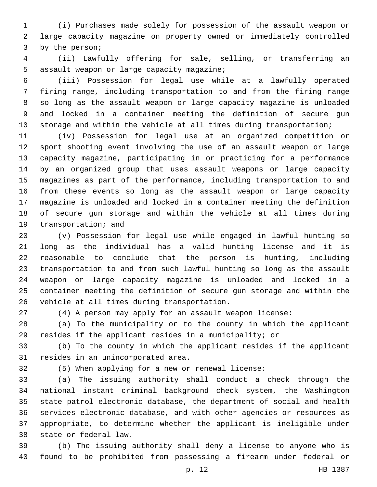(i) Purchases made solely for possession of the assault weapon or large capacity magazine on property owned or immediately controlled 3 by the person;

 (ii) Lawfully offering for sale, selling, or transferring an 5 assault weapon or large capacity magazine;

 (iii) Possession for legal use while at a lawfully operated firing range, including transportation to and from the firing range so long as the assault weapon or large capacity magazine is unloaded and locked in a container meeting the definition of secure gun storage and within the vehicle at all times during transportation;

 (iv) Possession for legal use at an organized competition or sport shooting event involving the use of an assault weapon or large capacity magazine, participating in or practicing for a performance by an organized group that uses assault weapons or large capacity magazines as part of the performance, including transportation to and from these events so long as the assault weapon or large capacity magazine is unloaded and locked in a container meeting the definition of secure gun storage and within the vehicle at all times during 19 transportation; and

 (v) Possession for legal use while engaged in lawful hunting so long as the individual has a valid hunting license and it is reasonable to conclude that the person is hunting, including transportation to and from such lawful hunting so long as the assault weapon or large capacity magazine is unloaded and locked in a container meeting the definition of secure gun storage and within the 26 vehicle at all times during transportation.

(4) A person may apply for an assault weapon license:

 (a) To the municipality or to the county in which the applicant resides if the applicant resides in a municipality; or

 (b) To the county in which the applicant resides if the applicant 31 resides in an unincorporated area.

(5) When applying for a new or renewal license:

 (a) The issuing authority shall conduct a check through the national instant criminal background check system, the Washington state patrol electronic database, the department of social and health services electronic database, and with other agencies or resources as appropriate, to determine whether the applicant is ineligible under 38 state or federal law.

 (b) The issuing authority shall deny a license to anyone who is found to be prohibited from possessing a firearm under federal or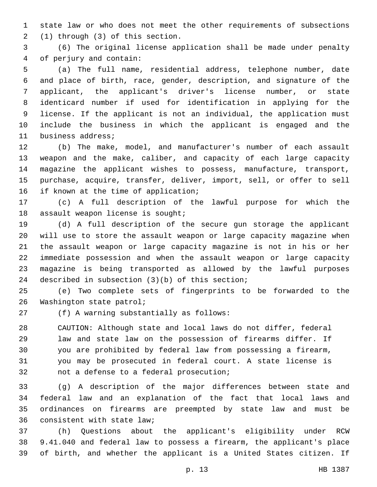state law or who does not meet the other requirements of subsections (1) through (3) of this section.2

 (6) The original license application shall be made under penalty of perjury and contain:4

 (a) The full name, residential address, telephone number, date and place of birth, race, gender, description, and signature of the applicant, the applicant's driver's license number, or state identicard number if used for identification in applying for the license. If the applicant is not an individual, the application must include the business in which the applicant is engaged and the 11 business address;

 (b) The make, model, and manufacturer's number of each assault weapon and the make, caliber, and capacity of each large capacity magazine the applicant wishes to possess, manufacture, transport, purchase, acquire, transfer, deliver, import, sell, or offer to sell 16 if known at the time of application;

 (c) A full description of the lawful purpose for which the 18 assault weapon license is sought;

 (d) A full description of the secure gun storage the applicant will use to store the assault weapon or large capacity magazine when the assault weapon or large capacity magazine is not in his or her immediate possession and when the assault weapon or large capacity magazine is being transported as allowed by the lawful purposes 24 described in subsection  $(3)(b)$  of this section;

 (e) Two complete sets of fingerprints to be forwarded to the 26 Washington state patrol;

(f) A warning substantially as follows:27

 CAUTION: Although state and local laws do not differ, federal law and state law on the possession of firearms differ. If you are prohibited by federal law from possessing a firearm, you may be prosecuted in federal court. A state license is 32 not a defense to a federal prosecution;

 (g) A description of the major differences between state and federal law and an explanation of the fact that local laws and ordinances on firearms are preempted by state law and must be 36 consistent with state law;

 (h) Questions about the applicant's eligibility under RCW 9.41.040 and federal law to possess a firearm, the applicant's place of birth, and whether the applicant is a United States citizen. If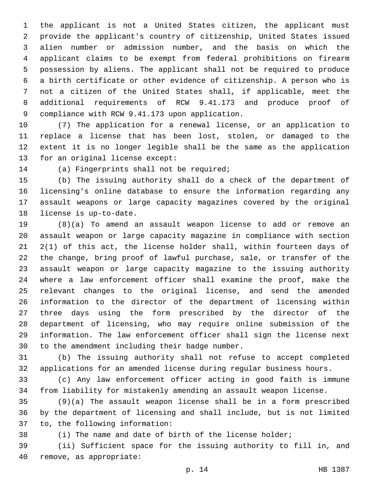the applicant is not a United States citizen, the applicant must provide the applicant's country of citizenship, United States issued alien number or admission number, and the basis on which the applicant claims to be exempt from federal prohibitions on firearm possession by aliens. The applicant shall not be required to produce a birth certificate or other evidence of citizenship. A person who is not a citizen of the United States shall, if applicable, meet the additional requirements of RCW 9.41.173 and produce proof of 9 compliance with RCW 9.41.173 upon application.

 (7) The application for a renewal license, or an application to replace a license that has been lost, stolen, or damaged to the extent it is no longer legible shall be the same as the application 13 for an original license except:

14 (a) Fingerprints shall not be required;

 (b) The issuing authority shall do a check of the department of licensing's online database to ensure the information regarding any assault weapons or large capacity magazines covered by the original 18 license is up-to-date.

 (8)(a) To amend an assault weapon license to add or remove an assault weapon or large capacity magazine in compliance with section 2(1) of this act, the license holder shall, within fourteen days of the change, bring proof of lawful purchase, sale, or transfer of the assault weapon or large capacity magazine to the issuing authority where a law enforcement officer shall examine the proof, make the relevant changes to the original license, and send the amended information to the director of the department of licensing within three days using the form prescribed by the director of the department of licensing, who may require online submission of the information. The law enforcement officer shall sign the license next 30 to the amendment including their badge number.

 (b) The issuing authority shall not refuse to accept completed applications for an amended license during regular business hours.

 (c) Any law enforcement officer acting in good faith is immune from liability for mistakenly amending an assault weapon license.

 (9)(a) The assault weapon license shall be in a form prescribed by the department of licensing and shall include, but is not limited 37 to, the following information:

(i) The name and date of birth of the license holder;

 (ii) Sufficient space for the issuing authority to fill in, and 40 remove, as appropriate: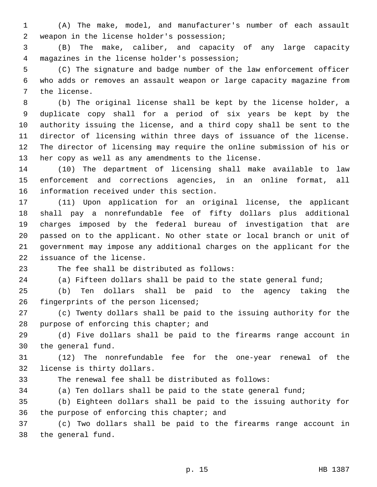(A) The make, model, and manufacturer's number of each assault 2 weapon in the license holder's possession;

 (B) The make, caliber, and capacity of any large capacity magazines in the license holder's possession;4

 (C) The signature and badge number of the law enforcement officer who adds or removes an assault weapon or large capacity magazine from 7 the license.

 (b) The original license shall be kept by the license holder, a duplicate copy shall for a period of six years be kept by the authority issuing the license, and a third copy shall be sent to the director of licensing within three days of issuance of the license. The director of licensing may require the online submission of his or her copy as well as any amendments to the license.

 (10) The department of licensing shall make available to law enforcement and corrections agencies, in an online format, all 16 information received under this section.

 (11) Upon application for an original license, the applicant shall pay a nonrefundable fee of fifty dollars plus additional charges imposed by the federal bureau of investigation that are passed on to the applicant. No other state or local branch or unit of government may impose any additional charges on the applicant for the 22 issuance of the license.

23 The fee shall be distributed as follows:

(a) Fifteen dollars shall be paid to the state general fund;

 (b) Ten dollars shall be paid to the agency taking the 26 fingerprints of the person licensed;

 (c) Twenty dollars shall be paid to the issuing authority for the 28 purpose of enforcing this chapter; and

 (d) Five dollars shall be paid to the firearms range account in 30 the general fund.

 (12) The nonrefundable fee for the one-year renewal of the 32 license is thirty dollars.

The renewal fee shall be distributed as follows:

(a) Ten dollars shall be paid to the state general fund;

 (b) Eighteen dollars shall be paid to the issuing authority for 36 the purpose of enforcing this chapter; and

 (c) Two dollars shall be paid to the firearms range account in 38 the general fund.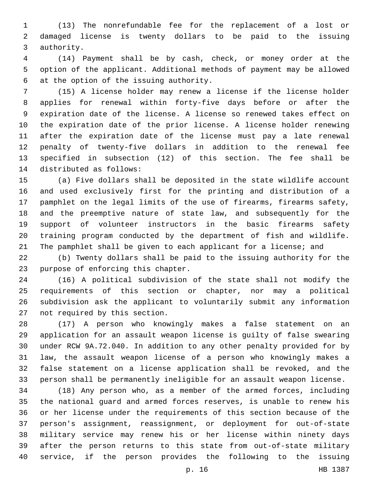(13) The nonrefundable fee for the replacement of a lost or damaged license is twenty dollars to be paid to the issuing 3 authority.

 (14) Payment shall be by cash, check, or money order at the option of the applicant. Additional methods of payment may be allowed 6 at the option of the issuing authority.

 (15) A license holder may renew a license if the license holder applies for renewal within forty-five days before or after the expiration date of the license. A license so renewed takes effect on the expiration date of the prior license. A license holder renewing after the expiration date of the license must pay a late renewal penalty of twenty-five dollars in addition to the renewal fee specified in subsection (12) of this section. The fee shall be 14 distributed as follows:

 (a) Five dollars shall be deposited in the state wildlife account and used exclusively first for the printing and distribution of a pamphlet on the legal limits of the use of firearms, firearms safety, and the preemptive nature of state law, and subsequently for the support of volunteer instructors in the basic firearms safety training program conducted by the department of fish and wildlife. 21 The pamphlet shall be given to each applicant for a license; and

 (b) Twenty dollars shall be paid to the issuing authority for the 23 purpose of enforcing this chapter.

 (16) A political subdivision of the state shall not modify the requirements of this section or chapter, nor may a political subdivision ask the applicant to voluntarily submit any information 27 not required by this section.

 (17) A person who knowingly makes a false statement on an application for an assault weapon license is guilty of false swearing under RCW 9A.72.040. In addition to any other penalty provided for by law, the assault weapon license of a person who knowingly makes a false statement on a license application shall be revoked, and the person shall be permanently ineligible for an assault weapon license.

 (18) Any person who, as a member of the armed forces, including the national guard and armed forces reserves, is unable to renew his or her license under the requirements of this section because of the person's assignment, reassignment, or deployment for out-of-state military service may renew his or her license within ninety days after the person returns to this state from out-of-state military service, if the person provides the following to the issuing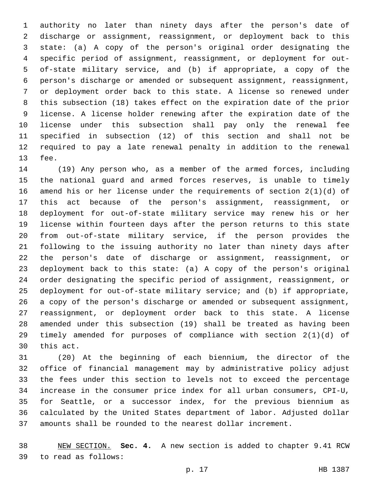authority no later than ninety days after the person's date of discharge or assignment, reassignment, or deployment back to this state: (a) A copy of the person's original order designating the specific period of assignment, reassignment, or deployment for out- of-state military service, and (b) if appropriate, a copy of the person's discharge or amended or subsequent assignment, reassignment, or deployment order back to this state. A license so renewed under this subsection (18) takes effect on the expiration date of the prior license. A license holder renewing after the expiration date of the license under this subsection shall pay only the renewal fee specified in subsection (12) of this section and shall not be required to pay a late renewal penalty in addition to the renewal 13 fee.

 (19) Any person who, as a member of the armed forces, including the national guard and armed forces reserves, is unable to timely amend his or her license under the requirements of section 2(1)(d) of this act because of the person's assignment, reassignment, or deployment for out-of-state military service may renew his or her license within fourteen days after the person returns to this state from out-of-state military service, if the person provides the following to the issuing authority no later than ninety days after the person's date of discharge or assignment, reassignment, or deployment back to this state: (a) A copy of the person's original order designating the specific period of assignment, reassignment, or deployment for out-of-state military service; and (b) if appropriate, a copy of the person's discharge or amended or subsequent assignment, reassignment, or deployment order back to this state. A license amended under this subsection (19) shall be treated as having been timely amended for purposes of compliance with section 2(1)(d) of 30 this act.

 (20) At the beginning of each biennium, the director of the office of financial management may by administrative policy adjust the fees under this section to levels not to exceed the percentage increase in the consumer price index for all urban consumers, CPI-U, for Seattle, or a successor index, for the previous biennium as calculated by the United States department of labor. Adjusted dollar amounts shall be rounded to the nearest dollar increment.

 NEW SECTION. **Sec. 4.** A new section is added to chapter 9.41 RCW to read as follows:39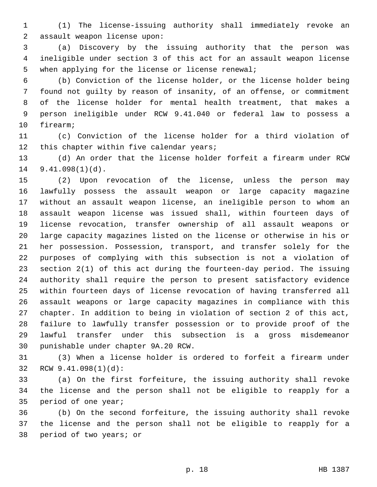(1) The license-issuing authority shall immediately revoke an 2 assault weapon license upon:

 (a) Discovery by the issuing authority that the person was ineligible under section 3 of this act for an assault weapon license 5 when applying for the license or license renewal;

 (b) Conviction of the license holder, or the license holder being found not guilty by reason of insanity, of an offense, or commitment of the license holder for mental health treatment, that makes a person ineligible under RCW 9.41.040 or federal law to possess a 10 firearm;

 (c) Conviction of the license holder for a third violation of 12 this chapter within five calendar years;

 (d) An order that the license holder forfeit a firearm under RCW  $9.41.098(1)(d)$ .

 (2) Upon revocation of the license, unless the person may lawfully possess the assault weapon or large capacity magazine without an assault weapon license, an ineligible person to whom an assault weapon license was issued shall, within fourteen days of license revocation, transfer ownership of all assault weapons or large capacity magazines listed on the license or otherwise in his or her possession. Possession, transport, and transfer solely for the purposes of complying with this subsection is not a violation of section 2(1) of this act during the fourteen-day period. The issuing authority shall require the person to present satisfactory evidence within fourteen days of license revocation of having transferred all assault weapons or large capacity magazines in compliance with this chapter. In addition to being in violation of section 2 of this act, failure to lawfully transfer possession or to provide proof of the lawful transfer under this subsection is a gross misdemeanor 30 punishable under chapter 9A.20 RCW.

 (3) When a license holder is ordered to forfeit a firearm under 32 RCW 9.41.098(1)(d):

 (a) On the first forfeiture, the issuing authority shall revoke the license and the person shall not be eligible to reapply for a 35 period of one year;

 (b) On the second forfeiture, the issuing authority shall revoke the license and the person shall not be eligible to reapply for a 38 period of two years; or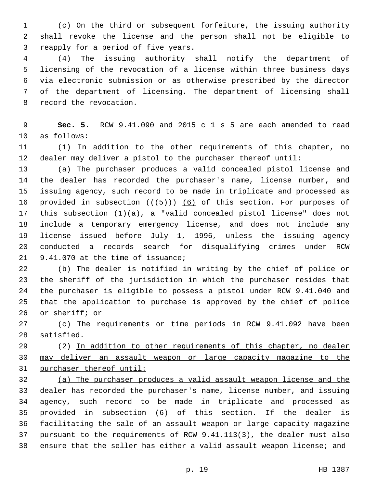(c) On the third or subsequent forfeiture, the issuing authority shall revoke the license and the person shall not be eligible to 3 reapply for a period of five years.

 (4) The issuing authority shall notify the department of licensing of the revocation of a license within three business days via electronic submission or as otherwise prescribed by the director of the department of licensing. The department of licensing shall 8 record the revocation.

 **Sec. 5.** RCW 9.41.090 and 2015 c 1 s 5 are each amended to read 10 as follows:

 (1) In addition to the other requirements of this chapter, no dealer may deliver a pistol to the purchaser thereof until:

 (a) The purchaser produces a valid concealed pistol license and the dealer has recorded the purchaser's name, license number, and issuing agency, such record to be made in triplicate and processed as 16 provided in subsection  $((+5))$  (6) of this section. For purposes of this subsection (1)(a), a "valid concealed pistol license" does not include a temporary emergency license, and does not include any license issued before July 1, 1996, unless the issuing agency conducted a records search for disqualifying crimes under RCW 9.41.070 at the time of issuance;

 (b) The dealer is notified in writing by the chief of police or the sheriff of the jurisdiction in which the purchaser resides that the purchaser is eligible to possess a pistol under RCW 9.41.040 and that the application to purchase is approved by the chief of police 26 or sheriff; or

 (c) The requirements or time periods in RCW 9.41.092 have been 28 satisfied.

29 (2) In addition to other requirements of this chapter, no dealer may deliver an assault weapon or large capacity magazine to the purchaser thereof until:

 (a) The purchaser produces a valid assault weapon license and the dealer has recorded the purchaser's name, license number, and issuing 34 agency, such record to be made in triplicate and processed as provided in subsection (6) of this section. If the dealer is facilitating the sale of an assault weapon or large capacity magazine pursuant to the requirements of RCW 9.41.113(3), the dealer must also 38 ensure that the seller has either a valid assault weapon license; and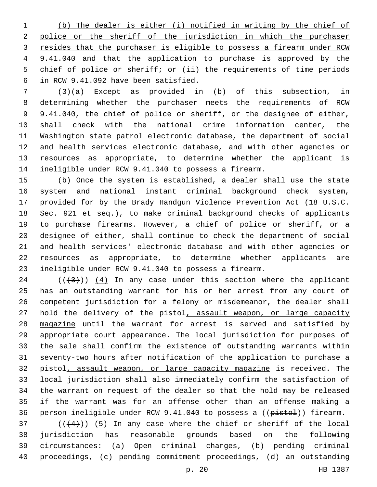(b) The dealer is either (i) notified in writing by the chief of police or the sheriff of the jurisdiction in which the purchaser 3 resides that the purchaser is eligible to possess a firearm under RCW 9.41.040 and that the application to purchase is approved by the chief of police or sheriff; or (ii) the requirements of time periods in RCW 9.41.092 have been satisfied.

 (3)(a) Except as provided in (b) of this subsection, in determining whether the purchaser meets the requirements of RCW 9.41.040, the chief of police or sheriff, or the designee of either, shall check with the national crime information center, the Washington state patrol electronic database, the department of social and health services electronic database, and with other agencies or resources as appropriate, to determine whether the applicant is ineligible under RCW 9.41.040 to possess a firearm.

 (b) Once the system is established, a dealer shall use the state system and national instant criminal background check system, provided for by the Brady Handgun Violence Prevention Act (18 U.S.C. Sec. 921 et seq.), to make criminal background checks of applicants to purchase firearms. However, a chief of police or sheriff, or a designee of either, shall continue to check the department of social and health services' electronic database and with other agencies or resources as appropriate, to determine whether applicants are ineligible under RCW 9.41.040 to possess a firearm.

 (( $\left(\frac{43}{1}\right)$ ) (4) In any case under this section where the applicant has an outstanding warrant for his or her arrest from any court of competent jurisdiction for a felony or misdemeanor, the dealer shall 27 hold the delivery of the pistol, assault weapon, or large capacity 28 magazine until the warrant for arrest is served and satisfied by appropriate court appearance. The local jurisdiction for purposes of the sale shall confirm the existence of outstanding warrants within seventy-two hours after notification of the application to purchase a pistol, assault weapon, or large capacity magazine is received. The local jurisdiction shall also immediately confirm the satisfaction of the warrant on request of the dealer so that the hold may be released if the warrant was for an offense other than an offense making a 36 person ineligible under RCW 9.41.040 to possess a ((pistol)) firearm.

 ( $(44)$ )) (5) In any case where the chief or sheriff of the local jurisdiction has reasonable grounds based on the following circumstances: (a) Open criminal charges, (b) pending criminal proceedings, (c) pending commitment proceedings, (d) an outstanding

p. 20 HB 1387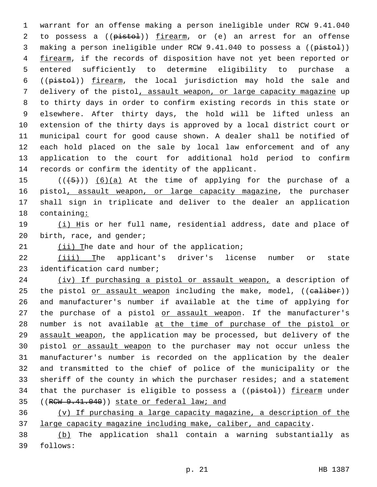warrant for an offense making a person ineligible under RCW 9.41.040 2 to possess a ((pistol)) firearm, or (e) an arrest for an offense 3 making a person ineligible under RCW 9.41.040 to possess a ((pistol)) 4 firearm, if the records of disposition have not yet been reported or entered sufficiently to determine eligibility to purchase a ((pistol)) firearm, the local jurisdiction may hold the sale and delivery of the pistol, assault weapon, or large capacity magazine up to thirty days in order to confirm existing records in this state or elsewhere. After thirty days, the hold will be lifted unless an extension of the thirty days is approved by a local district court or municipal court for good cause shown. A dealer shall be notified of each hold placed on the sale by local law enforcement and of any application to the court for additional hold period to confirm 14 records or confirm the identity of the applicant.

 $((+5+))$   $(6)(a)$  At the time of applying for the purchase of a 16 pistol, assault weapon, or large capacity magazine, the purchaser shall sign in triplicate and deliver to the dealer an application containing:

19 (i) His or her full name, residential address, date and place of 20 birth, race, and gender;

 $(1i)$  The date and hour of the application;

22 (iii) The applicant's driver's license number or state 23 identification card number;

24 (iv) If purchasing a pistol or assault weapon, a description of 25 the pistol or assault weapon including the make, model, ((ealiber)) 26 and manufacturer's number if available at the time of applying for 27 the purchase of a pistol or assault weapon. If the manufacturer's 28 number is not available at the time of purchase of the pistol or 29 assault weapon, the application may be processed, but delivery of the 30 pistol or assault weapon to the purchaser may not occur unless the 31 manufacturer's number is recorded on the application by the dealer 32 and transmitted to the chief of police of the municipality or the 33 sheriff of the county in which the purchaser resides; and a statement 34 that the purchaser is eligible to possess a ((pistol)) firearm under 35 ((RCW 9.41.040)) state or federal law; and

36 (v) If purchasing a large capacity magazine, a description of the 37 large capacity magazine including make, caliber, and capacity.

38 (b) The application shall contain a warning substantially as 39 follows: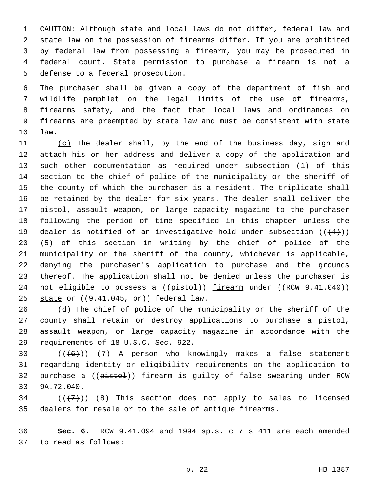CAUTION: Although state and local laws do not differ, federal law and state law on the possession of firearms differ. If you are prohibited by federal law from possessing a firearm, you may be prosecuted in federal court. State permission to purchase a firearm is not a 5 defense to a federal prosecution.

 The purchaser shall be given a copy of the department of fish and wildlife pamphlet on the legal limits of the use of firearms, firearms safety, and the fact that local laws and ordinances on firearms are preempted by state law and must be consistent with state law.10

11 (c) The dealer shall, by the end of the business day, sign and 12 attach his or her address and deliver a copy of the application and 13 such other documentation as required under subsection (1) of this 14 section to the chief of police of the municipality or the sheriff of 15 the county of which the purchaser is a resident. The triplicate shall 16 be retained by the dealer for six years. The dealer shall deliver the 17 pistol, assault weapon, or large capacity magazine to the purchaser 18 following the period of time specified in this chapter unless the 19 dealer is notified of an investigative hold under subsection  $((+4))$ 20 (5) of this section in writing by the chief of police of the 21 municipality or the sheriff of the county, whichever is applicable, 22 denying the purchaser's application to purchase and the grounds 23 thereof. The application shall not be denied unless the purchaser is 24 not eligible to possess a ((pistol)) firearm under ((RCW 9.41.040)) 25 state or  $((9.41.045, or))$  federal law.

26 (d) The chief of police of the municipality or the sheriff of the 27 county shall retain or destroy applications to purchase a pistol, 28 assault weapon, or large capacity magazine in accordance with the 29 requirements of 18 U.S.C. Sec. 922.

30  $((+6))$   $(7)$  A person who knowingly makes a false statement 31 regarding identity or eligibility requirements on the application to 32 purchase a ((pistol)) firearm is guilty of false swearing under RCW 33 9A.72.040.

34  $((+7))$   $(8)$  This section does not apply to sales to licensed 35 dealers for resale or to the sale of antique firearms.

36 **Sec. 6.** RCW 9.41.094 and 1994 sp.s. c 7 s 411 are each amended 37 to read as follows: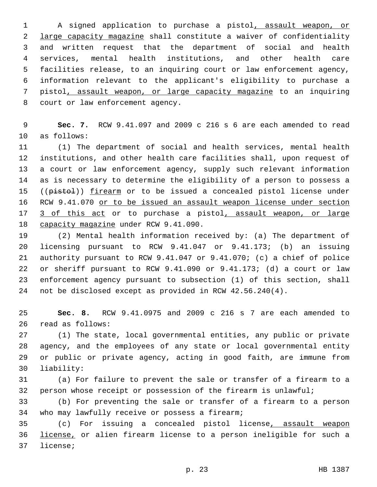A signed application to purchase a pistol, assault weapon, or large capacity magazine shall constitute a waiver of confidentiality and written request that the department of social and health services, mental health institutions, and other health care facilities release, to an inquiring court or law enforcement agency, information relevant to the applicant's eligibility to purchase a pistol, assault weapon, or large capacity magazine to an inquiring 8 court or law enforcement agency.

 **Sec. 7.** RCW 9.41.097 and 2009 c 216 s 6 are each amended to read 10 as follows:

 (1) The department of social and health services, mental health institutions, and other health care facilities shall, upon request of a court or law enforcement agency, supply such relevant information as is necessary to determine the eligibility of a person to possess a 15 ((pistol)) firearm or to be issued a concealed pistol license under 16 RCW 9.41.070 or to be issued an assault weapon license under section 3 of this act or to purchase a pistol, assault weapon, or large 18 capacity magazine under RCW 9.41.090.

 (2) Mental health information received by: (a) The department of licensing pursuant to RCW 9.41.047 or 9.41.173; (b) an issuing authority pursuant to RCW 9.41.047 or 9.41.070; (c) a chief of police or sheriff pursuant to RCW 9.41.090 or 9.41.173; (d) a court or law enforcement agency pursuant to subsection (1) of this section, shall not be disclosed except as provided in RCW 42.56.240(4).

 **Sec. 8.** RCW 9.41.0975 and 2009 c 216 s 7 are each amended to 26 read as follows:

 (1) The state, local governmental entities, any public or private agency, and the employees of any state or local governmental entity or public or private agency, acting in good faith, are immune from 30 liability:

 (a) For failure to prevent the sale or transfer of a firearm to a person whose receipt or possession of the firearm is unlawful;

 (b) For preventing the sale or transfer of a firearm to a person 34 who may lawfully receive or possess a firearm;

 (c) For issuing a concealed pistol license, assault weapon license, or alien firearm license to a person ineligible for such a 37 license;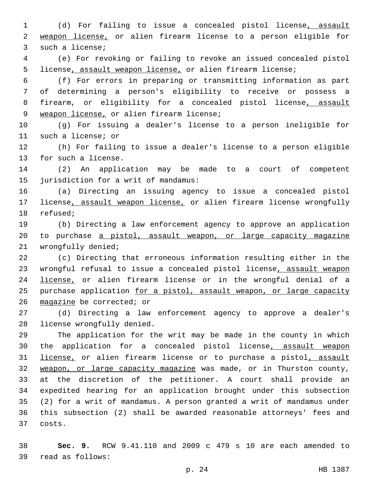1 (d) For failing to issue a concealed pistol license, assault 2 weapon license, or alien firearm license to a person eligible for 3 such a license;

4 (e) For revoking or failing to revoke an issued concealed pistol 5 license, assault weapon license, or alien firearm license;

 (f) For errors in preparing or transmitting information as part of determining a person's eligibility to receive or possess a firearm, or eligibility for a concealed pistol license, assault 9 weapon license, or alien firearm license;

10 (g) For issuing a dealer's license to a person ineligible for 11 such a license; or

12 (h) For failing to issue a dealer's license to a person eligible 13 for such a license.

14 (2) An application may be made to a court of competent 15 jurisdiction for a writ of mandamus:

16 (a) Directing an issuing agency to issue a concealed pistol 17 license, assault weapon license, or alien firearm license wrongfully 18 refused;

19 (b) Directing a law enforcement agency to approve an application 20 to purchase a pistol, assault weapon, or large capacity magazine 21 wrongfully denied;

22 (c) Directing that erroneous information resulting either in the 23 wrongful refusal to issue a concealed pistol license, assault weapon 24 license, or alien firearm license or in the wrongful denial of a 25 purchase application for a pistol, assault weapon, or large capacity 26 magazine be corrected; or

27 (d) Directing a law enforcement agency to approve a dealer's 28 license wrongfully denied.

 The application for the writ may be made in the county in which 30 the application for a concealed pistol license, assault weapon 31 license, or alien firearm license or to purchase a pistol, assault weapon, or large capacity magazine was made, or in Thurston county, at the discretion of the petitioner. A court shall provide an expedited hearing for an application brought under this subsection (2) for a writ of mandamus. A person granted a writ of mandamus under this subsection (2) shall be awarded reasonable attorneys' fees and 37 costs.

38 **Sec. 9.** RCW 9.41.110 and 2009 c 479 s 10 are each amended to read as follows:39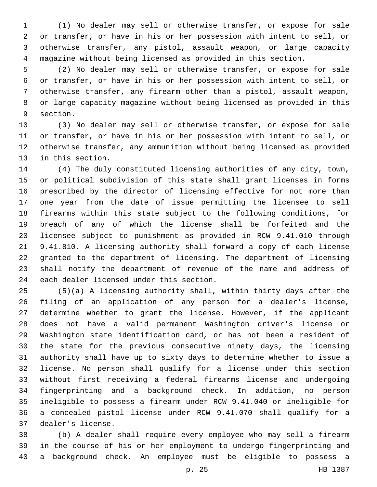(1) No dealer may sell or otherwise transfer, or expose for sale or transfer, or have in his or her possession with intent to sell, or otherwise transfer, any pistol, assault weapon, or large capacity magazine without being licensed as provided in this section.

 (2) No dealer may sell or otherwise transfer, or expose for sale or transfer, or have in his or her possession with intent to sell, or otherwise transfer, any firearm other than a pistol, assault weapon, 8 or large capacity magazine without being licensed as provided in this 9 section.

 (3) No dealer may sell or otherwise transfer, or expose for sale or transfer, or have in his or her possession with intent to sell, or otherwise transfer, any ammunition without being licensed as provided 13 in this section.

 (4) The duly constituted licensing authorities of any city, town, or political subdivision of this state shall grant licenses in forms prescribed by the director of licensing effective for not more than one year from the date of issue permitting the licensee to sell firearms within this state subject to the following conditions, for breach of any of which the license shall be forfeited and the licensee subject to punishment as provided in RCW 9.41.010 through 9.41.810. A licensing authority shall forward a copy of each license granted to the department of licensing. The department of licensing shall notify the department of revenue of the name and address of 24 each dealer licensed under this section.

 (5)(a) A licensing authority shall, within thirty days after the filing of an application of any person for a dealer's license, determine whether to grant the license. However, if the applicant does not have a valid permanent Washington driver's license or Washington state identification card, or has not been a resident of the state for the previous consecutive ninety days, the licensing authority shall have up to sixty days to determine whether to issue a license. No person shall qualify for a license under this section without first receiving a federal firearms license and undergoing fingerprinting and a background check. In addition, no person ineligible to possess a firearm under RCW 9.41.040 or ineligible for a concealed pistol license under RCW 9.41.070 shall qualify for a dealer's license.37

 (b) A dealer shall require every employee who may sell a firearm in the course of his or her employment to undergo fingerprinting and a background check. An employee must be eligible to possess a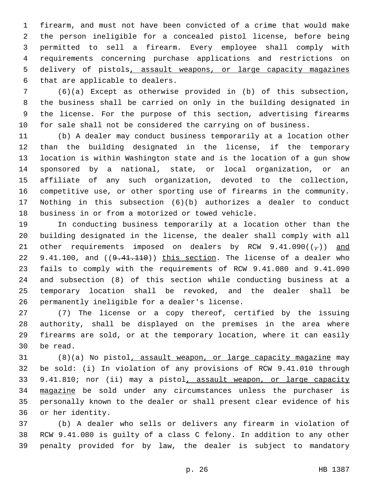firearm, and must not have been convicted of a crime that would make the person ineligible for a concealed pistol license, before being permitted to sell a firearm. Every employee shall comply with requirements concerning purchase applications and restrictions on delivery of pistols, assault weapons, or large capacity magazines 6 that are applicable to dealers.

 (6)(a) Except as otherwise provided in (b) of this subsection, the business shall be carried on only in the building designated in the license. For the purpose of this section, advertising firearms for sale shall not be considered the carrying on of business.

 (b) A dealer may conduct business temporarily at a location other than the building designated in the license, if the temporary location is within Washington state and is the location of a gun show sponsored by a national, state, or local organization, or an affiliate of any such organization, devoted to the collection, competitive use, or other sporting use of firearms in the community. Nothing in this subsection (6)(b) authorizes a dealer to conduct 18 business in or from a motorized or towed vehicle.

 In conducting business temporarily at a location other than the building designated in the license, the dealer shall comply with all 21 other requirements imposed on dealers by RCW 9.41.090( $(\tau)$ ) and 22 9.41.100, and ((9.41.110)) this section. The license of a dealer who fails to comply with the requirements of RCW 9.41.080 and 9.41.090 and subsection (8) of this section while conducting business at a temporary location shall be revoked, and the dealer shall be 26 permanently ineligible for a dealer's license.

 (7) The license or a copy thereof, certified by the issuing authority, shall be displayed on the premises in the area where firearms are sold, or at the temporary location, where it can easily 30 be read.

 (8)(a) No pistol, assault weapon, or large capacity magazine may be sold: (i) In violation of any provisions of RCW 9.41.010 through 33 9.41.810; nor (ii) may a pistol, assault weapon, or large capacity 34 magazine be sold under any circumstances unless the purchaser is personally known to the dealer or shall present clear evidence of his 36 or her identity.

 (b) A dealer who sells or delivers any firearm in violation of RCW 9.41.080 is guilty of a class C felony. In addition to any other penalty provided for by law, the dealer is subject to mandatory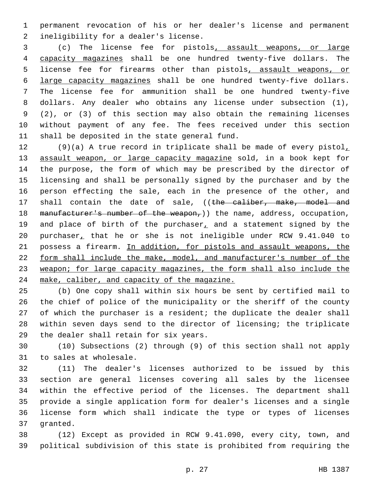permanent revocation of his or her dealer's license and permanent 2 ineligibility for a dealer's license.

 (c) The license fee for pistols, assault weapons, or large capacity magazines shall be one hundred twenty-five dollars. The 5 license fee for firearms other than pistols, assault weapons, or large capacity magazines shall be one hundred twenty-five dollars. The license fee for ammunition shall be one hundred twenty-five dollars. Any dealer who obtains any license under subsection (1), (2), or (3) of this section may also obtain the remaining licenses without payment of any fee. The fees received under this section 11 shall be deposited in the state general fund.

 (9)(a) A true record in triplicate shall be made of every pistol, 13 assault weapon, or large capacity magazine sold, in a book kept for the purpose, the form of which may be prescribed by the director of licensing and shall be personally signed by the purchaser and by the person effecting the sale, each in the presence of the other, and 17 shall contain the date of sale, ((the caliber, make, model and 18 manufacturer's number of the weapon,)) the name, address, occupation, 19 and place of birth of the purchaser, and a statement signed by the purchaser, that he or she is not ineligible under RCW 9.41.040 to possess a firearm. In addition, for pistols and assault weapons, the form shall include the make, model, and manufacturer's number of the weapon; for large capacity magazines, the form shall also include the make, caliber, and capacity of the magazine.

 (b) One copy shall within six hours be sent by certified mail to the chief of police of the municipality or the sheriff of the county of which the purchaser is a resident; the duplicate the dealer shall within seven days send to the director of licensing; the triplicate 29 the dealer shall retain for six years.

 (10) Subsections (2) through (9) of this section shall not apply 31 to sales at wholesale.

 (11) The dealer's licenses authorized to be issued by this section are general licenses covering all sales by the licensee within the effective period of the licenses. The department shall provide a single application form for dealer's licenses and a single license form which shall indicate the type or types of licenses 37 granted.

 (12) Except as provided in RCW 9.41.090, every city, town, and political subdivision of this state is prohibited from requiring the